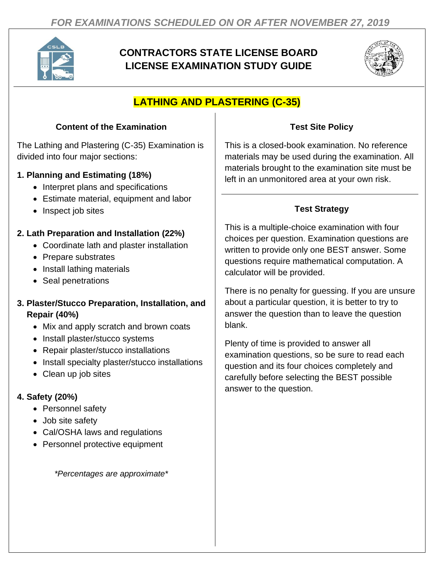

# **CONTRACTORS STATE LICENSE BOARD LICENSE EXAMINATION STUDY GUIDE**



## **LATHING AND PLASTERING (C-35)**

### **Content of the Examination**

The Lathing and Plastering (C-35) Examination is divided into four major sections:

### **1. Planning and Estimating (18%)**

- Interpret plans and specifications
- Estimate material, equipment and labor
- Inspect job sites

## **2. Lath Preparation and Installation (22%)**

- Coordinate lath and plaster installation
- Prepare substrates
- Install lathing materials
- Seal penetrations

### **3. Plaster/Stucco Preparation, Installation, and Repair (40%)**

- Mix and apply scratch and brown coats
- Install plaster/stucco systems
- Repair plaster/stucco installations
- Install specialty plaster/stucco installations
- Clean up job sites

## **4. Safety (20%)**

- Personnel safety
- Job site safety
- Cal/OSHA laws and regulations
- Personnel protective equipment

*\*Percentages are approximate\**

## **Test Site Policy**

This is a closed-book examination. No reference materials may be used during the examination. All materials brought to the examination site must be left in an unmonitored area at your own risk.

## **Test Strategy**

This is a multiple-choice examination with four choices per question. Examination questions are written to provide only one BEST answer. Some questions require mathematical computation. A calculator will be provided.

There is no penalty for guessing. If you are unsure about a particular question, it is better to try to answer the question than to leave the question blank.

Plenty of time is provided to answer all examination questions, so be sure to read each question and its four choices completely and carefully before selecting the BEST possible answer to the question.